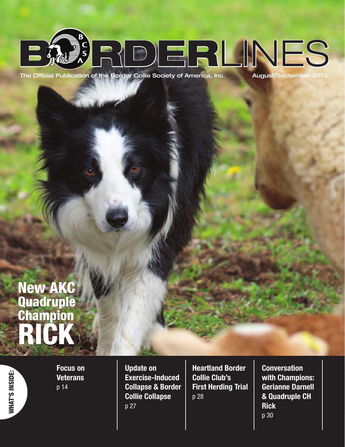

The Official Publication of the Border Collie Society of America, Inc.

August/September 2013

# New AKC **Quadruple Champion** RICK

*NHAT'S INSIDE:* WHAT'S INSIDE:

Focus on **Veterans** p 14

Update on Exercise-Induced Collapse & Border Collie Collapse p 27

Heartland Border Collie Club's First Herding Trial p 28

**Conversation** with Champions: Gerianne Darnell & Quadruple CH **Rick** p 30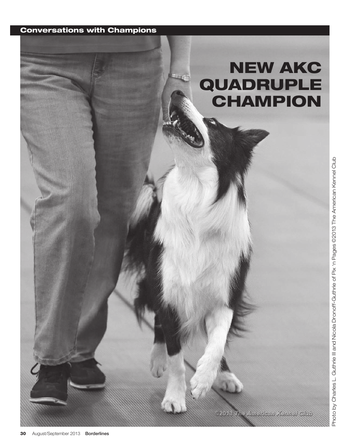### Conversations with Champions

## NEW AKC QUADRUPLE CHAMPION

92013 The American Kennel Club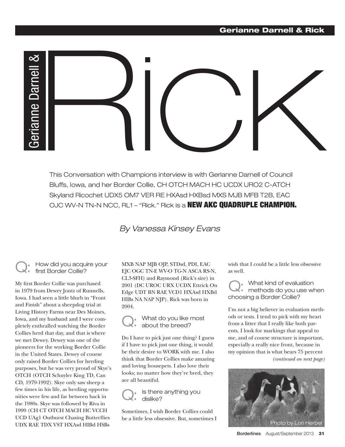#### Gerianne Darnell & Rick



This Conversation with Champions interview is with Gerianne Darnell of Council Bluffs, Iowa, and her Border Collie, CH OTCH MACH HC UCDX URO2 C-ATCH Skyland Ricochet UDX5 OM7 VER RE HXAsd HXBsd MXS MJB MFB T2B, EAC OJC WV-N TN-N NCC, RL1 – "Rick." Rick is a **NEW AKC QUADRUPLE CHAMPION.** 

### By Vanessa Kinsey Evans

#### Q: How did you acquire your first Border Collie?

My first Border Collie was purchased in 1979 from Dewey Jontz of Runnells, Iowa. I had seen a little blurb in "Front and Finish" about a sheepdog trial at Living History Farms near Des Moines, Iowa, and my husband and I were completely enthralled watching the Border Collies herd that day, and that is where we met Dewey. Dewey was one of the pioneers for the working Border Collie in the United States. Dewey of course only raised Border Collies for herding purposes, but he was very proud of Skye's OTCH (OTCH Schuyler King TD, Can CD, 1979-1992). Skye only saw sheep a few times in his life, as herding opportunities were few and far between back in the 1980s. Skye was followed by Riva in 1999 (CH CT OTCH MACH HC VCCH UCD UAg1 Outburst Chasing Butterflies UDX RAE TDX VST HXAsd HIBd HSBs

MXB NAP MJB OJP, STDsd, PDI, EAC EJC OGC TN-E WV-O TG-N ASCA RS-N, CL3-SFH) and Raymond (Rick's sire) in 2001 (DC UROC URX UCDX Ettrick On Edge UDT BN RAE VCD1 HXAsd HXBd HIBs NA NAP NJP). Rick was born in 2004.

Q: What do you like most about the breed?

Do I have to pick just one thing? I guess if I have to pick just one thing, it would be their desire to WORK with me. I also think that Border Collies make amazing and loving housepets. I also love their looks; no matter how they're bred, they are all beautiful.

Q: Is there anything you dislike?

Sometimes, I wish Border Collies could be a little less obsessive. But, sometimes I wish that I could be a little less obsessive as well.

Q: What kind of evaluation methods do you use when choosing a Border Collie?

I'm not a big believer in evaluation methods or tests. I tend to pick with my heart from a litter that I really like both parents. I look for markings that appeal to me, and of course structure is important, especially a really nice front, because in my opinion that is what bears 75 percent *(continued on next page)*

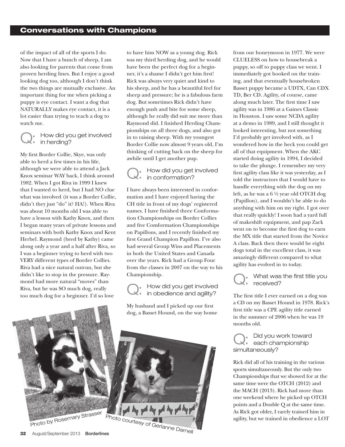of the impact of all of the sports I do. Now that I have a bunch of sheep, I am also looking for parents that come from proven herding lines. But I enjoy a good looking dog too, although I don't think the two things are mutually exclusive. An important thing for me when picking a puppy is eye contact. I want a dog that NATURALLY makes eye contact, it is a lot easier than trying to teach a dog to watch me.

#### Q: How did you get involved **in herding?**

My first Border Collie, Skye, was only able to herd a few times in his life, although we were able to attend a Jack Knox seminar WAY back, I think around 1982. When I got Riva in 1999 I knew that I wanted to herd, but I had NO clue what was involved (it was a Border Collie, didn't they just "do" it? HA!). When Riva was about 10 months old I was able to have a lesson with Kathy Knox, and then I began many years of private lessons and seminars with both Kathy Knox and Kent Herbel. Raymond (bred by Kathy) came along only a year and a half after Riva, so I was a beginner trying to herd with two VERY different types of Border Collies. Riva had a nice natural outrun, but she didn't like to stop in the pressure. Raymond had more natural "moves" than Riva, but he was SO much dog, really too much dog for a beginner. I'd so love

to have him NOW as a young dog. Rick was my third herding dog, and he would have been the perfect dog for a beginner, it's a shame I didn't get him first! Rick was always very quiet and kind to his sheep, and he has a beautiful feel for sheep and pressure; he is a fabulous farm dog. But sometimes Rick didn't have enough push and bite for some sheep, although he really did suit me more than Raymond did. I finished Herding Championships on all three dogs, and also got in to raising sheep. With my youngest Border Collie now almost 9 years old, I'm thinking of cutting back on the sheep for awhile until I get another pup.

Q: How did you get involved in conformation?

I have always been interested in conformation and I have enjoyed having the CH title in front of my dogs' registered names. I have finished three Conformation Championships on Border Collies and five Comformation Championships on Papillons, and I recently finished my first Grand Champion Papillon. I've also had several Group Wins and Placements in both the United States and Canada over the years. Rick had a Group Four from the classes in 2007 on the way to his Championship.

Championship.<br>  $Q:$  How did you get involved<br>  $Q:$  in obedience and agility? The firm How did you get involved **i** in obedience and agility?

My husband and I picked up our first dog, a Basset Hound, on the way home



from our honeymoon in 1977. We were CLUELESS on how to housebreak a puppy, so off to puppy class we went. I immediately got hooked on the training, and that eventually housebroken Basset puppy became a UDTX, Can CDX TD, Ber CD. Agility, of course, came along much later. The first time I saw agility was in 1986 at a Gaines Classic in Houston. I saw some NCDA agility at a demo in 1989, and I still thought it looked interesting, but not something I'd probably get involved with, as I wondered how in the heck you could get all of that equipment. When the AKC started doing agility in 1994, I decided to take the plunge. I remember my very first agility class like it was yesterday, as I told the instructors that I would have to handle everything with the dog on my left, as he was a 6 ½ year old OTCH dog (Papillon), and I wouldn't be able to do anything with him on my right. I got over that really quickly! I soon had a yard full of makeshift equipment, and pap Zack went on to become the first dog to earn the MX title that started from the Novice A class. Back then there would be eight dogs total in the excellent class, it was amazingly different compared to what agility has evolved in to today.



What was the first title you received?

The first title I ever earned on a dog was a CD on my Basset Hound in 1978. Rick's first title was a CPE agility title earned in the summer of 2006 when he was 19 months old.

Q: Did you work toward each championship simultaneously?

Rick did all of his training in the various sports simultaneously. But the only two Championships that we showed for at the same time were the OTCH (2012) and the MACH (2013). Rick had more than one weekend where he picked up OTCH points and a Double Q at the same time. As Rick got older, I rarely trained him in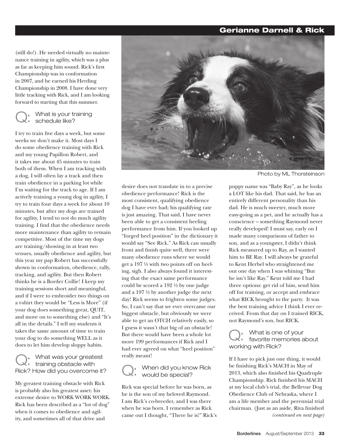#### Gerianne Darnell & Rick

(still do!). He needed virtually no maintenance training in agility, which was a plus as far as keeping him sound. Rick's first Championship was in conformation in 2007, and he earned his Herding Championship in 2008. I have done very little tracking with Rick, and I am looking forward to starting that this summer.



What is your training schedule like?

I try to train five days a week, but some weeks we don't make it. Most days I do some obedience training with Rick and my young Papillon Robert, and it takes me about 45 minutes to train both of them. When I am tracking with a dog, I will often lay a track and then train obedience in a parking lot while I'm waiting for the track to age. If I am actively training a young dog in agility, I try to train four days a week for about 10 minutes, but after my dogs are trained for agility, I tend to not do much agility training. I find that the obedience needs more maintenance than agility to remain competitive. Most of the time my dogs are training/showing in at least two venues, usually obedience and agility, but this year my pap Robert has successfully shown in conformation, obedience, rally, tracking, and agility. But then Robert thinks he is a Border Collie! I keep my training sessions short and meaningful, and if I were to embroider two things on a t-shirt they would be "Less is More" (if your dog does something great, QUIT, and move on to something else) and "It's all in the details." I tell my students it takes the same amount of time to train your dog to do something WELL as it does to let him develop sloppy habits.

Q: What was your greatest **training obstacle with** Rick? How did you overcome it?

My greatest training obstacle with Rick is probably also his greatest asset: his extreme desire to WORK WORK WORK. Rick has been described as a "lot of dog" when it comes to obedience and agility, and sometimes all of that drive and



Photo by ML Thorsteinson

desire does not translate in to a precise obedience performance! Rick is the most consistent, qualifying obedience dog I have ever had; his qualifying rate is just amazing. That said, I have never been able to get a consistent heeling performance from him. If you looked up "forged heel position" in the dictionary it would say "See Rick." As Rick can usually front and finish quite well, there were many obedience runs where we would get a 197 ½ with two points off on heeling, sigh. I also always found it interesting that the exact same performance could be scored a 192 ½ by one judge and a 197 ½ by another judge the next day! Rick seems to frighten some judges. So, I can't say that we ever overcame our biggest obstacle, but obviously we were able to get an OTCH relatively easily, so I guess it wasn't that big of an obstacle! But there would have been a whole lot more 199 performances if Rick and I had ever agreed on what "heel position" really meant!

Q: When did you know Rick would be special?

Rick was special before he was born, as he is the son of my beloved Raymond. I am Rick's co-breeder, and I was there when he was born. I remember as Rick came out I thought, "There he is!" Rick's

puppy name was "Baby Ray", as he looks a LOT like his dad. That said, he has an entirely different personality than his dad. He is much sweeter, much more easy-going as a pet, and he actually has a conscience – something Raymond never really developed! I must say, early on I made many comparisons of father to son, and as a youngster, I didn't think Rick measured up to Ray, as I wanted him to BE Ray. I will always be grateful to Kent Herbel who straightened me out one day when I was whining "But he isn't like Ray." Kent told me I had three options: get rid of him, send him off for training, or accept and embrace what RICK brought to the party. It was the best training advice I think I ever received. From that day on I trained RICK, not Raymond's son, but RICK.

What is one of your favorite memories about working with Rick? Q:

If I have to pick just one thing, it would be finishing Rick's MACH in May of 2013, which also finished his Quadruple Championship. Rick finished his MACH at my local club's trial, the Bellevue Dog Obedience Club of Nebraska, where I am a life member and the perennial trial chairman. (Just as an aside, Riva finished *(continued on next page)*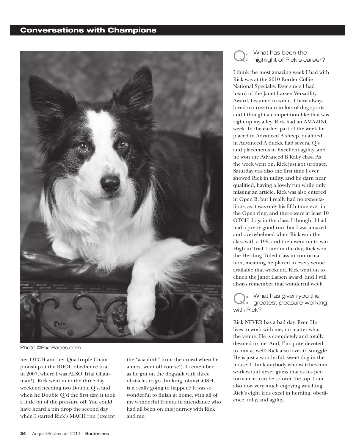#### Conversations with Champions



Photo ©PixnPages.com

her OTCH and her Quadruple Championship at the BDOC obedience trial in 2007, where I was ALSO Trial Chairman!). Rick went in to the three-day weekend needing two Double Q's, and when he Double Q'd the first day, it took a little bit of the pressure off. You could have heard a pin drop the second day when I started Rick's MACH run (except

the "aaaahhh" from the crowd when he almost went off course!). I remember as he got on the dogwalk with three obstacles to go thinking, ohmyGOSH, is it really going to happen? It was so wonderful to finish at home, with all of my wonderful friends in attendance who had all been on this journey with Rick and me.

What has been the highlight of Rick's career? Q:

I think the most amazing week I had with Rick was at the 2010 Border Collie National Specialty. Ever since I had heard of the Janet Larsen Versatility Award, I wanted to win it. I have always loved to cross-train in lots of dog sports, and I thought a competition like that was right up my alley. Rick had an AMAZING week. In the earlier part of the week he placed in Advanced A sheep, qualified in Advanced A ducks, had several Q's and placements in Excellent agility, and he won the Advanced B Rally class. As the week went on, Rick just got stronger. Saturday was also the first time I ever showed Rick in utility, and he darn near qualified, having a lovely run while only missing an article. Rick was also entered in Open B, but I really had no expectations, as it was only his fifth time ever in the Open ring, and there were at least 10 OTCH dogs in the class. I thought I had had a pretty good run, but I was amazed and overwhelmed when Rick won the class with a 199, and then went on to win High in Trial. Later in the day, Rick won the Herding Titled class in conformation, meaning he placed in every venue available that weekend. Rick went on to clinch the Janet Larsen award, and I will always remember that wonderful week.

What has given you the greatest pleasure working with Rick? Q:

Rick NEVER has a bad day. Ever. He lives to work with me, no matter what the venue. He is completely and totally devoted to me. And, I'm quite devoted to him as well! Rick also loves to snuggle. He is just a wonderful, sweet dog in the house; I think anybody who watches him work would never guess that as his performances can be so over the top. I am also now very much enjoying watching Rick's eight kids excel in herding, obedience, rally, and agility.